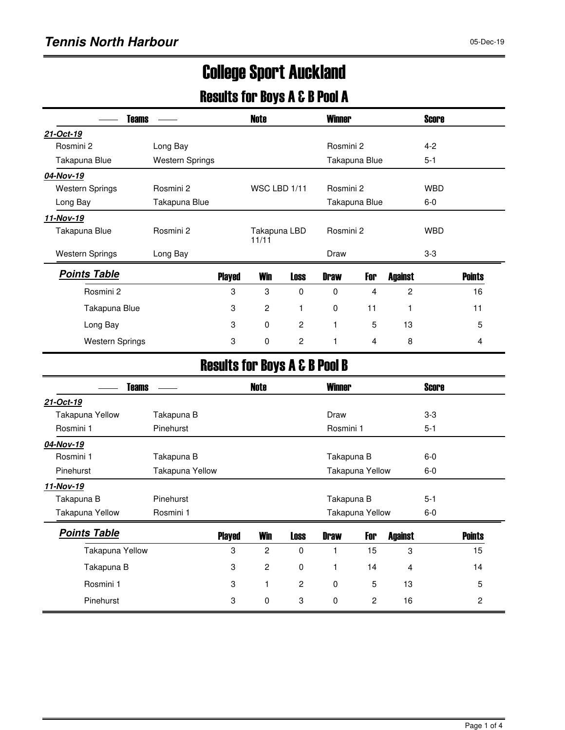# College Sport Auckland

### Results for Boys A & B Pool A

| <b>Teams</b>           |                        |               | <b>Note</b>           |             | <b>Winner</b> |               |                | <b>Score</b> |               |  |
|------------------------|------------------------|---------------|-----------------------|-------------|---------------|---------------|----------------|--------------|---------------|--|
| 21-Oct-19              |                        |               |                       |             |               |               |                |              |               |  |
| Rosmini 2              | Long Bay               |               |                       |             | Rosmini 2     |               |                | $4 - 2$      |               |  |
| Takapuna Blue          | <b>Western Springs</b> |               |                       |             |               | Takapuna Blue |                | $5 - 1$      |               |  |
| 04-Nov-19              |                        |               |                       |             |               |               |                |              |               |  |
| <b>Western Springs</b> | Rosmini 2              |               | WSC LBD 1/11          |             |               | Rosmini 2     |                |              | <b>WBD</b>    |  |
| Long Bay               | Takapuna Blue          |               |                       |             |               | Takapuna Blue |                | $6-0$        |               |  |
| 11-Nov-19              |                        |               |                       |             |               |               |                |              |               |  |
| Takapuna Blue          | Rosmini 2              |               | Takapuna LBD<br>11/11 |             |               | Rosmini 2     |                | <b>WBD</b>   |               |  |
| <b>Western Springs</b> | Long Bay               |               |                       | Draw        |               |               |                | $3-3$        |               |  |
| <b>Points Table</b>    |                        | <b>Played</b> | <b>Win</b>            | <b>Loss</b> | <b>Draw</b>   | For           | <b>Against</b> |              | <b>Points</b> |  |
| Rosmini 2              |                        | 3             | 3                     | $\Omega$    | $\Omega$      | 4             | 2              |              | 16            |  |
| Takapuna Blue          |                        | 3             | $\overline{c}$        |             | $\mathbf 0$   | 11            |                |              | 11            |  |
| Long Bay               |                        | 3             | $\mathbf 0$           | 2           | 1             | 5             | 13             |              | 5             |  |
| <b>Western Springs</b> |                        | 3             | 0                     | 2           | 1             | 4             | 8              |              | 4             |  |

### Results for Boys A & B Pool B

| <b>Teams</b>        |                 |               | <b>Note</b>    |                | <b>Winner</b> |                 |                | <b>Score</b> |                |
|---------------------|-----------------|---------------|----------------|----------------|---------------|-----------------|----------------|--------------|----------------|
| 21-Oct-19           |                 |               |                |                |               |                 |                |              |                |
| Takapuna Yellow     | Takapuna B      |               |                |                | Draw          |                 |                | $3-3$        |                |
| Rosmini 1           | Pinehurst       |               |                |                | Rosmini 1     |                 |                | $5 - 1$      |                |
| 04-Nov-19           |                 |               |                |                |               |                 |                |              |                |
| Rosmini 1           | Takapuna B      |               |                |                | Takapuna B    |                 |                | $6-0$        |                |
| <b>Pinehurst</b>    | Takapuna Yellow |               |                |                |               | Takapuna Yellow |                | $6-0$        |                |
| 11-Nov-19           |                 |               |                |                |               |                 |                |              |                |
| Takapuna B          | Pinehurst       |               |                |                | Takapuna B    |                 |                | $5 - 1$      |                |
| Takapuna Yellow     | Rosmini 1       |               |                |                |               | Takapuna Yellow |                | $6-0$        |                |
| <b>Points Table</b> |                 | <b>Played</b> | <b>Win</b>     | <b>Loss</b>    | <b>Draw</b>   | For             | <b>Against</b> |              | <b>Points</b>  |
| Takapuna Yellow     |                 | 3             | $\overline{c}$ | 0              |               | 15              | 3              |              | 15             |
| Takapuna B          |                 | 3             | $\overline{c}$ | 0              |               | 14              | 4              |              | 14             |
| Rosmini 1           |                 | 3             | 1              | $\overline{2}$ | $\mathbf 0$   | 5               | 13             |              | 5              |
| Pinehurst           |                 | 3             | $\mathbf 0$    | 3              | 0             | 2               | 16             |              | $\overline{2}$ |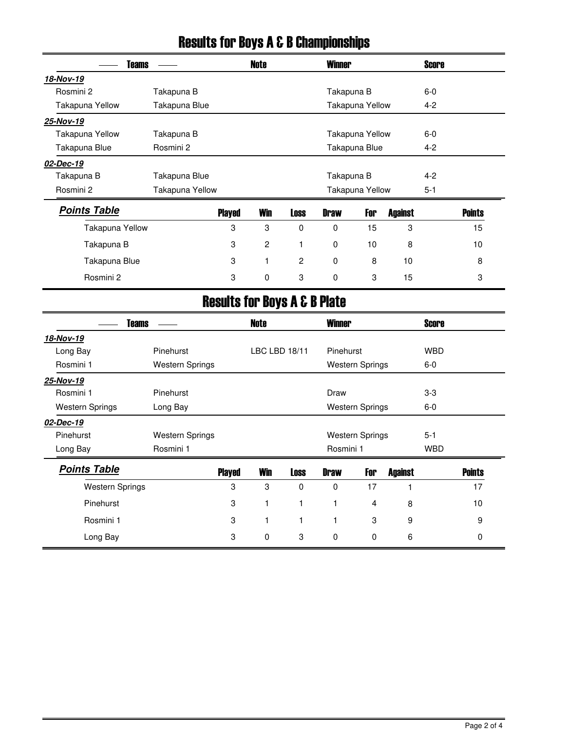| <b>Teams</b>           |                        |                           | <b>Note</b>                             |                | <b>Winner</b> |                         |                | <b>Score</b> |               |
|------------------------|------------------------|---------------------------|-----------------------------------------|----------------|---------------|-------------------------|----------------|--------------|---------------|
| 18-Nov-19              |                        |                           |                                         |                |               |                         |                |              |               |
| Rosmini 2              | Takapuna B             |                           |                                         |                | Takapuna B    |                         |                | $6-0$        |               |
| Takapuna Yellow        | Takapuna Blue          |                           |                                         |                |               | Takapuna Yellow         |                | $4 - 2$      |               |
| 25-Nov-19              |                        |                           |                                         |                |               |                         |                |              |               |
| Takapuna Yellow        | Takapuna B             |                           |                                         |                |               | <b>Takapuna Yellow</b>  |                | $6-0$        |               |
| Takapuna Blue          | Rosmini 2              |                           |                                         |                |               | Takapuna Blue           |                | $4 - 2$      |               |
| 02-Dec-19              |                        |                           |                                         |                |               |                         |                |              |               |
| Takapuna B             | Takapuna Blue          |                           |                                         |                | Takapuna B    |                         |                | $4 - 2$      |               |
| Rosmini 2              | Takapuna Yellow        |                           |                                         |                |               | Takapuna Yellow         |                | $5 - 1$      |               |
| <b>Points Table</b>    |                        | <b>Played</b>             | <b>Win</b>                              | <b>Loss</b>    | <b>Draw</b>   | For                     | <b>Against</b> |              | <b>Points</b> |
| Takapuna Yellow        |                        | $\boldsymbol{3}$          | 3                                       | 0              | $\mathbf 0$   | 15                      | 3              |              | 15            |
| Takapuna B             |                        | 3                         | $\mathbf{2}$                            | 1              | $\mathbf 0$   | 10                      | 8              |              | 10            |
| Takapuna Blue          |                        | 3                         | 1                                       | $\overline{c}$ | $\mathbf 0$   | 8                       | 10             |              | 8             |
| Rosmini 2              |                        | 3                         | $\pmb{0}$                               | 3              | 0             | 3                       | 15             |              | 3             |
|                        |                        |                           | <b>Results for Boys A &amp; B Plate</b> |                |               |                         |                |              |               |
| <b>Teams</b>           |                        |                           | <b>Note</b>                             |                | <b>Winner</b> |                         |                | <b>Score</b> |               |
| 18-Nov-19              |                        |                           |                                         |                |               |                         |                |              |               |
| Long Bay               | Pinehurst              |                           | LBC LBD 18/11                           |                | Pinehurst     |                         |                | <b>WBD</b>   |               |
| Rosmini 1              | <b>Western Springs</b> |                           |                                         |                |               | <b>Western Springs</b>  |                | $6-0$        |               |
| 25-Nov-19              |                        |                           |                                         |                |               |                         |                |              |               |
| Rosmini 1              | Pinehurst              |                           |                                         |                | Draw          |                         |                | $3-3$        |               |
| <b>Western Springs</b> | Long Bay               |                           |                                         |                |               | <b>Western Springs</b>  |                | $6-0$        |               |
| 02-Dec-19              |                        |                           |                                         |                |               |                         |                |              |               |
| Pinehurst              | <b>Western Springs</b> |                           | <b>Western Springs</b>                  |                |               | $5 - 1$                 |                |              |               |
| Long Bay               | Rosmini 1              |                           |                                         |                | Rosmini 1     |                         |                | <b>WBD</b>   |               |
| <b>Points Table</b>    |                        | <b>Played</b>             | <b>Win</b>                              | <b>Loss</b>    | <b>Draw</b>   | For                     | <b>Against</b> |              | <b>Points</b> |
| <b>Western Springs</b> |                        | $\,3$                     | $\ensuremath{\mathsf{3}}$               | $\pmb{0}$      | $\pmb{0}$     | 17                      | 1              |              | 17            |
| Pinehurst              |                        | $\ensuremath{\mathsf{3}}$ | $\mathbf{1}$                            | $\mathbf{1}$   | $\mathbf{1}$  | $\overline{\mathbf{4}}$ | 8              |              | 10            |
| Rosmini 1              |                        | $\boldsymbol{3}$          | $\mathbf{1}$                            | $\mathbf{1}$   | 1             | 3                       | 9              |              | 9             |
| Long Bay               |                        | 3                         | $\pmb{0}$                               | $\sqrt{3}$     | $\pmb{0}$     | $\pmb{0}$               | 6              |              | 0             |

## Results for Boys A & B Championships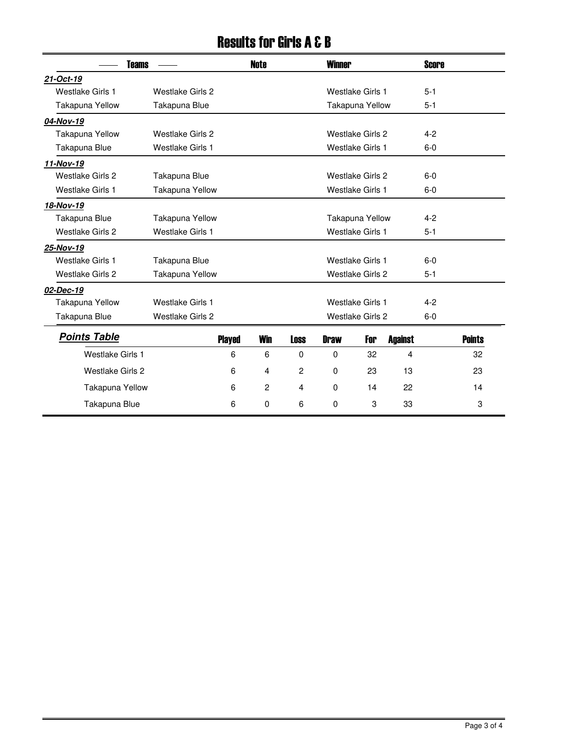### Results for Girls A & B

|                         | <b>Teams</b>            |                  | <b>Note</b>    |             | <b>Winner</b> |                         |                | <b>Score</b> |               |
|-------------------------|-------------------------|------------------|----------------|-------------|---------------|-------------------------|----------------|--------------|---------------|
| 21-Oct-19               |                         |                  |                |             |               |                         |                |              |               |
| <b>Westlake Girls 1</b> | <b>Westlake Girls 2</b> |                  |                |             |               | Westlake Girls 1        |                | $5 - 1$      |               |
| Takapuna Yellow         | Takapuna Blue           |                  |                |             |               | <b>Takapuna Yellow</b>  |                | $5 - 1$      |               |
| 04-Nov-19               |                         |                  |                |             |               |                         |                |              |               |
| Takapuna Yellow         | <b>Westlake Girls 2</b> |                  |                |             |               | Westlake Girls 2        |                | $4 - 2$      |               |
| Takapuna Blue           | <b>Westlake Girls 1</b> |                  |                |             |               | <b>Westlake Girls 1</b> |                | $6-0$        |               |
| 11-Nov-19               |                         |                  |                |             |               |                         |                |              |               |
| <b>Westlake Girls 2</b> | Takapuna Blue           |                  |                |             |               | <b>Westlake Girls 2</b> |                | $6-0$        |               |
| <b>Westlake Girls 1</b> | <b>Takapuna Yellow</b>  |                  |                |             |               | <b>Westlake Girls 1</b> |                | $6-0$        |               |
| 18-Nov-19               |                         |                  |                |             |               |                         |                |              |               |
| Takapuna Blue           | <b>Takapuna Yellow</b>  |                  |                |             |               | <b>Takapuna Yellow</b>  |                | $4 - 2$      |               |
| <b>Westlake Girls 2</b> | <b>Westlake Girls 1</b> |                  |                |             |               | <b>Westlake Girls 1</b> |                | $5 - 1$      |               |
| 25-Nov-19               |                         |                  |                |             |               |                         |                |              |               |
| <b>Westlake Girls 1</b> | Takapuna Blue           |                  |                |             |               | <b>Westlake Girls 1</b> |                | $6-0$        |               |
| <b>Westlake Girls 2</b> | <b>Takapuna Yellow</b>  |                  |                |             |               | <b>Westlake Girls 2</b> |                | $5 - 1$      |               |
| 02-Dec-19               |                         |                  |                |             |               |                         |                |              |               |
| <b>Takapuna Yellow</b>  | Westlake Girls 1        | Westlake Girls 1 |                |             |               |                         |                | $4 - 2$      |               |
| Takapuna Blue           | <b>Westlake Girls 2</b> |                  |                |             |               | <b>Westlake Girls 2</b> |                | $6-0$        |               |
| <b>Points Table</b>     |                         | <b>Played</b>    | <b>Win</b>     | <b>Loss</b> | <b>Draw</b>   | For                     | <b>Against</b> |              | <b>Points</b> |
| <b>Westlake Girls 1</b> |                         | 6                | 6              | $\Omega$    | 0             | 32                      | 4              |              | 32            |
| <b>Westlake Girls 2</b> |                         | 6                | $\overline{4}$ | 2           | 0             | 23                      | 13             |              | 23            |
| Takapuna Yellow         |                         | 6                | 2              | 4           | $\mathbf 0$   | 14                      | 22             |              | 14            |
| Takapuna Blue           |                         | 6                | $\mathbf{0}$   | 6           | $\mathbf{0}$  | 3                       | 33             |              | 3             |